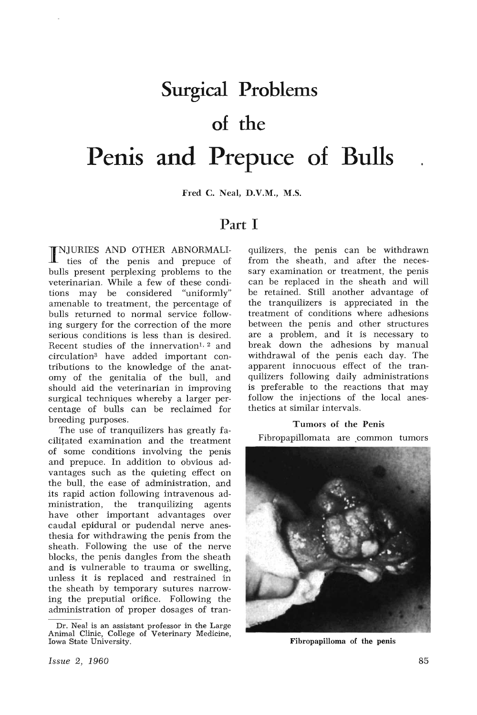# **Surgical Problems of the Penis and Prepuce of Bulls**

Fred C. Neal, D.V.M., M.S.

# **Part I**

I NJURIES AND OTHER ABNORMALI-ties of the penis and prepuce of bulls present perplexing problems to the veterinarian. While a few of these conditions may be considered "uniformly" amenable to treatment, the percentage of bulls returned to normal service following surgery for the correction of the more serious conditions is less than is desired. Recent studies of the innervation<sup>1, 2</sup> and circulation3 have added important contributions to the knowledge of the anatomy of the genitalia of the bull, and should aid the veterinarian in improving surgical techniques whereby a larger percentage of bulls can be reclaimed for breeding purposes.

The use of tranquilizers has greatly facilitated examination and the treatment of some conditions involving the penis and prepuce. In addition to obvious advantages such as the quieting effect on the bull, the ease of administration, and its rapid action following intravenous administration, the tranquilizing agents have other important advantages over caudal epidural or pudendal nerve anesthesia for withdrawing the penis from the sheath. Following the use of the nerve blocks, the penis dangles from the sheath and is vulnerable to trauma or swelling, unless it is replaced and restrained in the sheath by temporary sutures narrowing the preputial orifice. Following the administration of proper dosages of tranquilizers, the penis can be withdrawn from the sheath, and after the necessary examination or treatment, the penis can be replaced in the sheath and will be retained. Still another advantage of the tranquilizers is appreciated in the treatment of conditions where adhesions between the penis and other structures are a problem, and it is necessary to break down the adhesions by manual withdrawal of the penis each day. The apparent innocuous effect of the tranquilizers following daily administrations is preferable to the reactions that may follow the injections of the local anesthetics at similar intervals.

## Tumors of the Penis

Fibropapillomata are common tumors



Fibropapilloma of the penis

Dr. Neal is an assistant professor in the Large Animal Clinic, College of Veterinary Medicine, Iowa State University.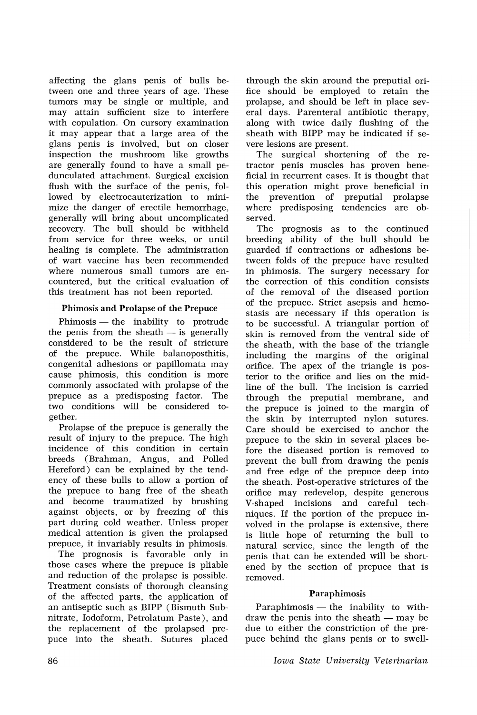affecting the glans penis of bulls between one and three years of age. These tumors may be single or multiple, and may attain sufficient size to interfere with copulation. On cursory examination it may appear that a large area of the glans penis is involved, but on closer inspection the mushroom like growths are generally found to have a small pedunculated attachment. Surgical excision flush with the surface of the penis, followed by electrocauterization to minimize the danger of erectile hemorrhage, generally will bring about uncomplicated recovery. The bull should be withheld from service for three weeks, or until healing is complete. The administration of wart vaccine has been recommended where numerous small tumors are encountered, but the critical evaluation of this treatment has not been reported.

# Phimosis and Prolapse of the Prepuce

 $Phimosis$  - the inability to protrude the penis from the sheath  $-$  is generally considered to be the result of stricture of the prepuce. While balanoposthitis, congenital adhesions or papillomata may cause phimosis, this condition is more commonly associated with prolapse of the prepuce as a predisposing factor. The two conditions will be considered together.

Prolapse of the prepuce is generally the result of injury to the prepuce. The high incidence of this condition in certain breeds (Brahman, Angus, and Polled Hereford) can be explained by the tendency of these bulls to allow a portion of the prepuce to hang free of the sheath and become traumatized by brushing against objects, or by freezing of this part during cold weather. Unless proper medical attention is given the prolapsed prepuce, it invariably results in phimosis.

The prognosis is favorable only in those cases where the prepuce is pliable and reduction of the prolapse is possible. Treatment consists of thorough cleansing of the affected parts, the application of an antiseptic such as BIPP (Bismuth Subnitrate, Iodoform, Petrolatum Paste), and the replacement of the prolapsed prepuce into the sheath. Sutures placed

through the skin around the preputial orifice should be employed to retain the prolapse, and should be left in place several days. Parenteral antibiotic therapy, along with twice daily flushing of the sheath with BIPP may be indicated if severe lesions are present.

The surgical shortening of the retractor penis muscles has proven beneficial in recurrent cases. It is thought that this operation might prove beneficial in the prevention of preputial prolapse where predisposing tendencies are observed.

The prognosis as to the continued breeding ability of the bull should be guarded if contractions or adhesions between folds of the prepuce have resulted in phimosis. The surgery necessary for the correction of this condition consists of the removal of the diseased portion of the prepuce. Strict asepsis and hemostasis are necessary if this operation is to be successful. A triangular portion of skin is removed from the ventral side of the sheath, with the base of the triangle including the margins of the original orifice. The apex of the triangle is posterior to the orifice and lies on the midline of the bull. The incision is carried through the preputial membrane, and the prepuce is joined to the margin of the skin by interrupted nylon sutures. Care should be exercised to anchor the prepuce to the skin in several places before the diseased portion is removed to prevent the bull from drawing the penis and free edge of the prepuce deep into the sheath. Post-operative strictures of the orifice may redevelop, despite generous V-shaped incisions and careful techniques. If the portion of the prepuce involved in the prolapse is extensive, there is little hope of returning the bull to natural service, since the length of the penis that can be extended will be shortened by the section of prepuce that is removed.

# Paraphimosis

 $Paraphimosis$  — the inability to withdraw the penis into the sheath  $-$  may be due to either the constriction of the prepuce behind the glans penis or to swell